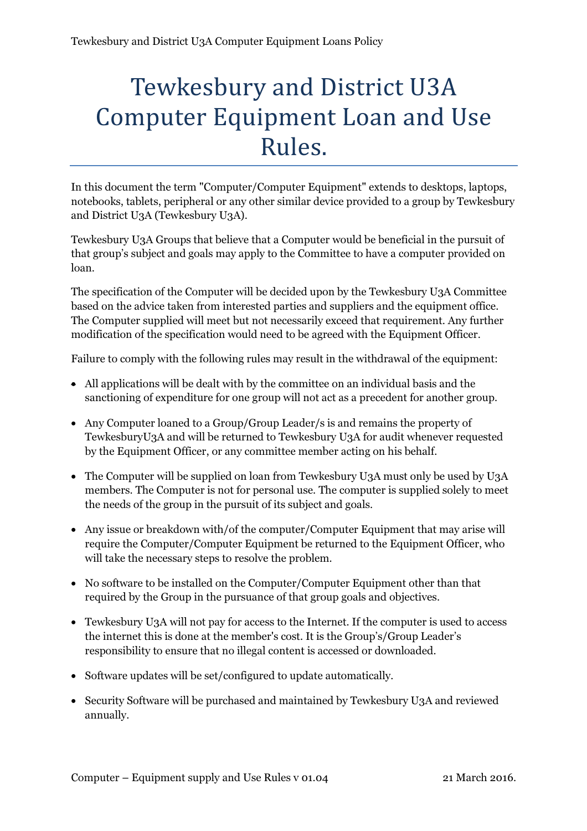## Tewkesbury and District U3A Computer Equipment Loan and Use Rules.

In this document the term "Computer/Computer Equipment" extends to desktops, laptops, notebooks, tablets, peripheral or any other similar device provided to a group by Tewkesbury and District U3A (Tewkesbury U3A).

Tewkesbury U3A Groups that believe that a Computer would be beneficial in the pursuit of that group's subject and goals may apply to the Committee to have a computer provided on loan.

The specification of the Computer will be decided upon by the Tewkesbury U3A Committee based on the advice taken from interested parties and suppliers and the equipment office. The Computer supplied will meet but not necessarily exceed that requirement. Any further modification of the specification would need to be agreed with the Equipment Officer.

Failure to comply with the following rules may result in the withdrawal of the equipment:

- All applications will be dealt with by the committee on an individual basis and the sanctioning of expenditure for one group will not act as a precedent for another group.
- Any Computer loaned to a Group/Group Leader/s is and remains the property of TewkesburyU3A and will be returned to Tewkesbury U3A for audit whenever requested by the Equipment Officer, or any committee member acting on his behalf.
- The Computer will be supplied on loan from Tewkesbury U3A must only be used by U3A members. The Computer is not for personal use. The computer is supplied solely to meet the needs of the group in the pursuit of its subject and goals.
- Any issue or breakdown with/of the computer/Computer Equipment that may arise will require the Computer/Computer Equipment be returned to the Equipment Officer, who will take the necessary steps to resolve the problem.
- No software to be installed on the Computer/Computer Equipment other than that required by the Group in the pursuance of that group goals and objectives.
- Tewkesbury U3A will not pay for access to the Internet. If the computer is used to access the internet this is done at the member's cost. It is the Group's/Group Leader's responsibility to ensure that no illegal content is accessed or downloaded.
- Software updates will be set/configured to update automatically.
- Security Software will be purchased and maintained by Tewkesbury U3A and reviewed annually.